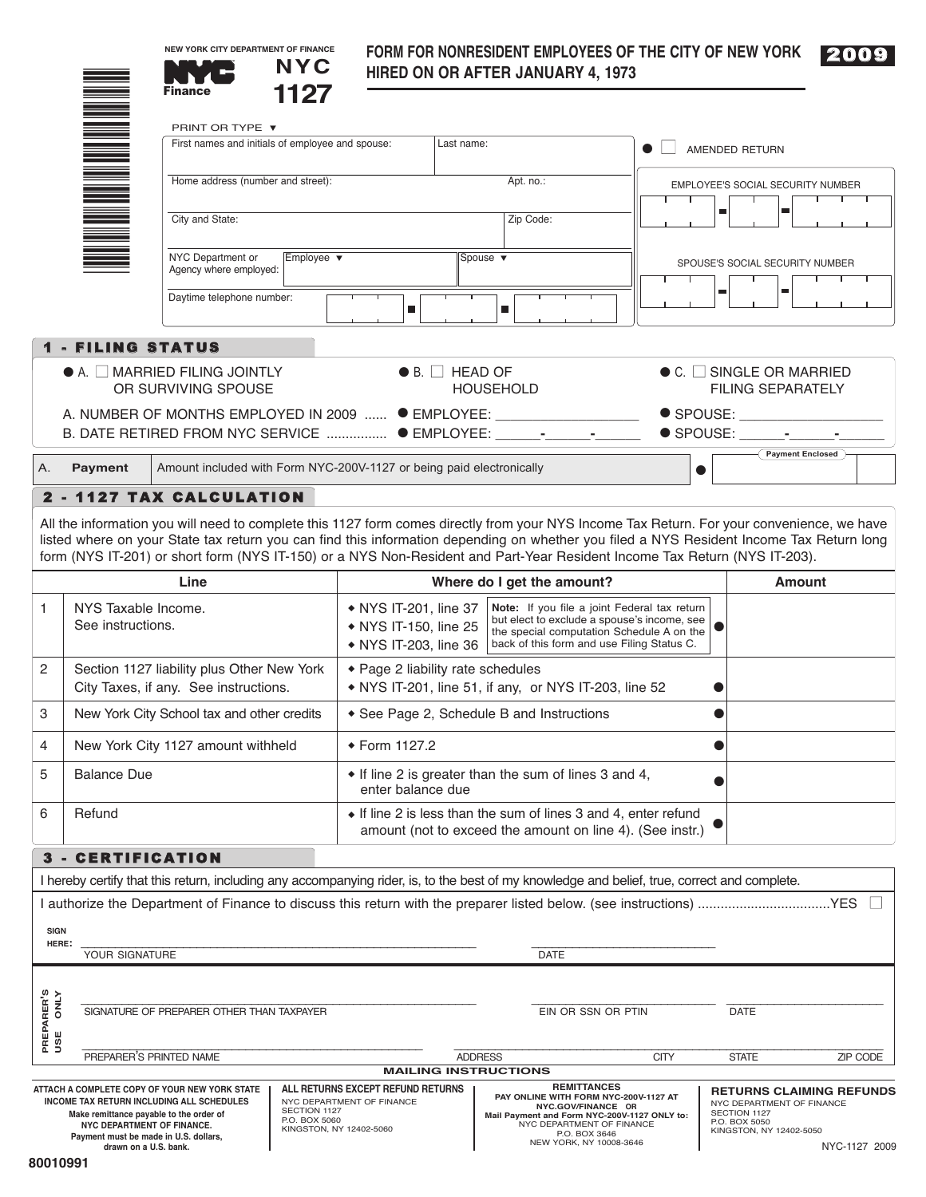**NEW YORK CITY DEPARTMENT OF FINANCE**

# **FORM FOR NONRESIDENT EMPLOYEES OF THE CITY OF NEW YORK**



|                                                                              |                                                                                     | <b>NYC</b><br>1127<br><b>Finance</b>                                                                                                                                                                                                                                                                                                                                                                                |                                                                                                                                      |                                           | <b>FUNNI FUN NUNNESIDENT EMPLUTEES UP THE UITT UP NEW TUNN</b><br><b>HIRED ON OR AFTER JANUARY 4, 1973</b>                   |                                 | <u>zooa</u>                                                       |  |
|------------------------------------------------------------------------------|-------------------------------------------------------------------------------------|---------------------------------------------------------------------------------------------------------------------------------------------------------------------------------------------------------------------------------------------------------------------------------------------------------------------------------------------------------------------------------------------------------------------|--------------------------------------------------------------------------------------------------------------------------------------|-------------------------------------------|------------------------------------------------------------------------------------------------------------------------------|---------------------------------|-------------------------------------------------------------------|--|
|                                                                              |                                                                                     |                                                                                                                                                                                                                                                                                                                                                                                                                     |                                                                                                                                      |                                           |                                                                                                                              |                                 |                                                                   |  |
|                                                                              |                                                                                     | PRINT OR TYPE ▼                                                                                                                                                                                                                                                                                                                                                                                                     |                                                                                                                                      |                                           |                                                                                                                              |                                 |                                                                   |  |
|                                                                              |                                                                                     | First names and initials of employee and spouse:                                                                                                                                                                                                                                                                                                                                                                    |                                                                                                                                      | Last name:                                |                                                                                                                              |                                 | AMENDED RETURN                                                    |  |
|                                                                              |                                                                                     | Home address (number and street):                                                                                                                                                                                                                                                                                                                                                                                   |                                                                                                                                      |                                           | Apt. no.:                                                                                                                    |                                 | EMPLOYEE'S SOCIAL SECURITY NUMBER                                 |  |
|                                                                              |                                                                                     | City and State:                                                                                                                                                                                                                                                                                                                                                                                                     |                                                                                                                                      |                                           | Zip Code:                                                                                                                    | ш                               | ш                                                                 |  |
| NYC Department or<br>Employee $\blacktriangledown$<br>Agency where employed: |                                                                                     |                                                                                                                                                                                                                                                                                                                                                                                                                     | Spouse $\blacktriangledown$                                                                                                          |                                           |                                                                                                                              | SPOUSE'S SOCIAL SECURITY NUMBER |                                                                   |  |
|                                                                              |                                                                                     | Daytime telephone number:                                                                                                                                                                                                                                                                                                                                                                                           | $\blacksquare$                                                                                                                       |                                           | $\blacksquare$                                                                                                               | ш                               | ш                                                                 |  |
|                                                                              | <b>1 - FILING STATUS</b>                                                            |                                                                                                                                                                                                                                                                                                                                                                                                                     |                                                                                                                                      |                                           |                                                                                                                              |                                 |                                                                   |  |
|                                                                              |                                                                                     | $\bullet$ A. $\Box$ MARRIED FILING JOINTLY<br>OR SURVIVING SPOUSE                                                                                                                                                                                                                                                                                                                                                   |                                                                                                                                      | $\bullet$ B. $\Box$ HEAD OF               | <b>HOUSEHOLD</b>                                                                                                             |                                 | $\bullet$ C. $\Box$ SINGLE OR MARRIED<br><b>FILING SEPARATELY</b> |  |
|                                                                              |                                                                                     |                                                                                                                                                                                                                                                                                                                                                                                                                     | A. NUMBER OF MONTHS EMPLOYED IN 2009  ● EMPLOYEE: ________________________<br>B. DATE RETIRED FROM NYC SERVICE  ● EMPLOYEE: _______- |                                           |                                                                                                                              |                                 | $\bullet$ SPOUSE: $\_$                                            |  |
|                                                                              |                                                                                     |                                                                                                                                                                                                                                                                                                                                                                                                                     |                                                                                                                                      |                                           |                                                                                                                              |                                 | Payment Enclosed                                                  |  |
| А.                                                                           | Payment                                                                             | Amount included with Form NYC-200V-1127 or being paid electronically                                                                                                                                                                                                                                                                                                                                                |                                                                                                                                      |                                           |                                                                                                                              | $\bullet$                       |                                                                   |  |
|                                                                              |                                                                                     | 2 - 1127 TAX CALCULATION                                                                                                                                                                                                                                                                                                                                                                                            |                                                                                                                                      |                                           |                                                                                                                              |                                 |                                                                   |  |
|                                                                              |                                                                                     | All the information you will need to complete this 1127 form comes directly from your NYS Income Tax Return. For your convenience, we have<br>listed where on your State tax return you can find this information depending on whether you filed a NYS Resident Income Tax Return long<br>form (NYS IT-201) or short form (NYS IT-150) or a NYS Non-Resident and Part-Year Resident Income Tax Return (NYS IT-203). |                                                                                                                                      |                                           |                                                                                                                              |                                 |                                                                   |  |
|                                                                              |                                                                                     | Line                                                                                                                                                                                                                                                                                                                                                                                                                |                                                                                                                                      |                                           | Where do I get the amount?                                                                                                   |                                 | <b>Amount</b>                                                     |  |
| $\mathbf{1}$                                                                 | NYS Taxable Income.<br>See instructions.                                            | • NYS IT-201, line 37<br>Note: If you file a joint Federal tax return<br>but elect to exclude a spouse's income, see<br>• NYS IT-150, line 25<br>the special computation Schedule A on the<br>• NYS IT-203, line 36<br>back of this form and use Filing Status C.                                                                                                                                                   |                                                                                                                                      |                                           |                                                                                                                              |                                 |                                                                   |  |
| 2                                                                            | Section 1127 liability plus Other New York<br>City Taxes, if any. See instructions. | ◆ Page 2 liability rate schedules<br>• NYS IT-201, line 51, if any, or NYS IT-203, line 52                                                                                                                                                                                                                                                                                                                          |                                                                                                                                      |                                           |                                                                                                                              |                                 |                                                                   |  |
| 3                                                                            | New York City School tax and other credits                                          |                                                                                                                                                                                                                                                                                                                                                                                                                     |                                                                                                                                      | • See Page 2, Schedule B and Instructions |                                                                                                                              |                                 |                                                                   |  |
| 4                                                                            | New York City 1127 amount withheld                                                  | ◆ Form 1127.2                                                                                                                                                                                                                                                                                                                                                                                                       |                                                                                                                                      |                                           |                                                                                                                              |                                 |                                                                   |  |
| 5                                                                            | <b>Balance Due</b>                                                                  | • If line 2 is greater than the sum of lines 3 and 4,<br>enter balance due                                                                                                                                                                                                                                                                                                                                          |                                                                                                                                      |                                           |                                                                                                                              |                                 |                                                                   |  |
| 6                                                                            | Refund                                                                              |                                                                                                                                                                                                                                                                                                                                                                                                                     |                                                                                                                                      |                                           | • If line 2 is less than the sum of lines 3 and 4, enter refund<br>amount (not to exceed the amount on line 4). (See instr.) |                                 |                                                                   |  |
|                                                                              | 3 - CERTIFICATION                                                                   |                                                                                                                                                                                                                                                                                                                                                                                                                     |                                                                                                                                      |                                           |                                                                                                                              |                                 |                                                                   |  |
|                                                                              |                                                                                     | I hereby certify that this return, including any accompanying rider, is, to the best of my knowledge and belief, true, correct and complete.                                                                                                                                                                                                                                                                        |                                                                                                                                      |                                           |                                                                                                                              |                                 |                                                                   |  |

| <b>SIGN</b><br>HERE:                  | YOUR SIGNATURE                                                                                                                                                                                                                        |                                                                                                                            | <b>DATE</b>    |                                                                                                                                                                                                            |                                                                                       |                                                  |  |
|---------------------------------------|---------------------------------------------------------------------------------------------------------------------------------------------------------------------------------------------------------------------------------------|----------------------------------------------------------------------------------------------------------------------------|----------------|------------------------------------------------------------------------------------------------------------------------------------------------------------------------------------------------------------|---------------------------------------------------------------------------------------|--------------------------------------------------|--|
| <b>NTNO</b><br>S, HBB<br>PREPA<br>USE | SIGNATURE OF PREPARER OTHER THAN TAXPAYER                                                                                                                                                                                             |                                                                                                                            |                | EIN OR SSN OR PTIN                                                                                                                                                                                         | <b>DATE</b>                                                                           |                                                  |  |
|                                       | PREPARER'S PRINTED NAME                                                                                                                                                                                                               |                                                                                                                            | <b>ADDRESS</b> | <b>CITY</b>                                                                                                                                                                                                | <b>STATE</b>                                                                          | ZIP CODE                                         |  |
| <b>MAILING INSTRUCTIONS</b>           |                                                                                                                                                                                                                                       |                                                                                                                            |                |                                                                                                                                                                                                            |                                                                                       |                                                  |  |
|                                       | ATTACH A COMPLETE COPY OF YOUR NEW YORK STATE<br>INCOME TAX RETURN INCLUDING ALL SCHEDULES<br>Make remittance payable to the order of<br>NYC DEPARTMENT OF FINANCE.<br>Payment must be made in U.S. dollars,<br>drawn on a U.S. bank. | ALL RETURNS EXCEPT REFUND RETURNS<br>NYC DEPARTMENT OF FINANCE<br>SECTION 1127<br>P.O. BOX 5060<br>KINGSTON, NY 12402-5060 |                | <b>REMITTANCES</b><br>PAY ONLINE WITH FORM NYC-200V-1127 AT<br>NYC.GOV/FINANCE OR<br>Mail Payment and Form NYC-200V-1127 ONLY to:<br>NYC DEPARTMENT OF FINANCE<br>P.O. BOX 3646<br>NEW YORK, NY 10008-3646 | NYC DEPARTMENT OF FINANCE<br>SECTION 1127<br>P.O. BOX 5050<br>KINGSTON, NY 12402-5050 | <b>RETURNS CLAIMING REFUNDS</b><br>NYC-1127 2009 |  |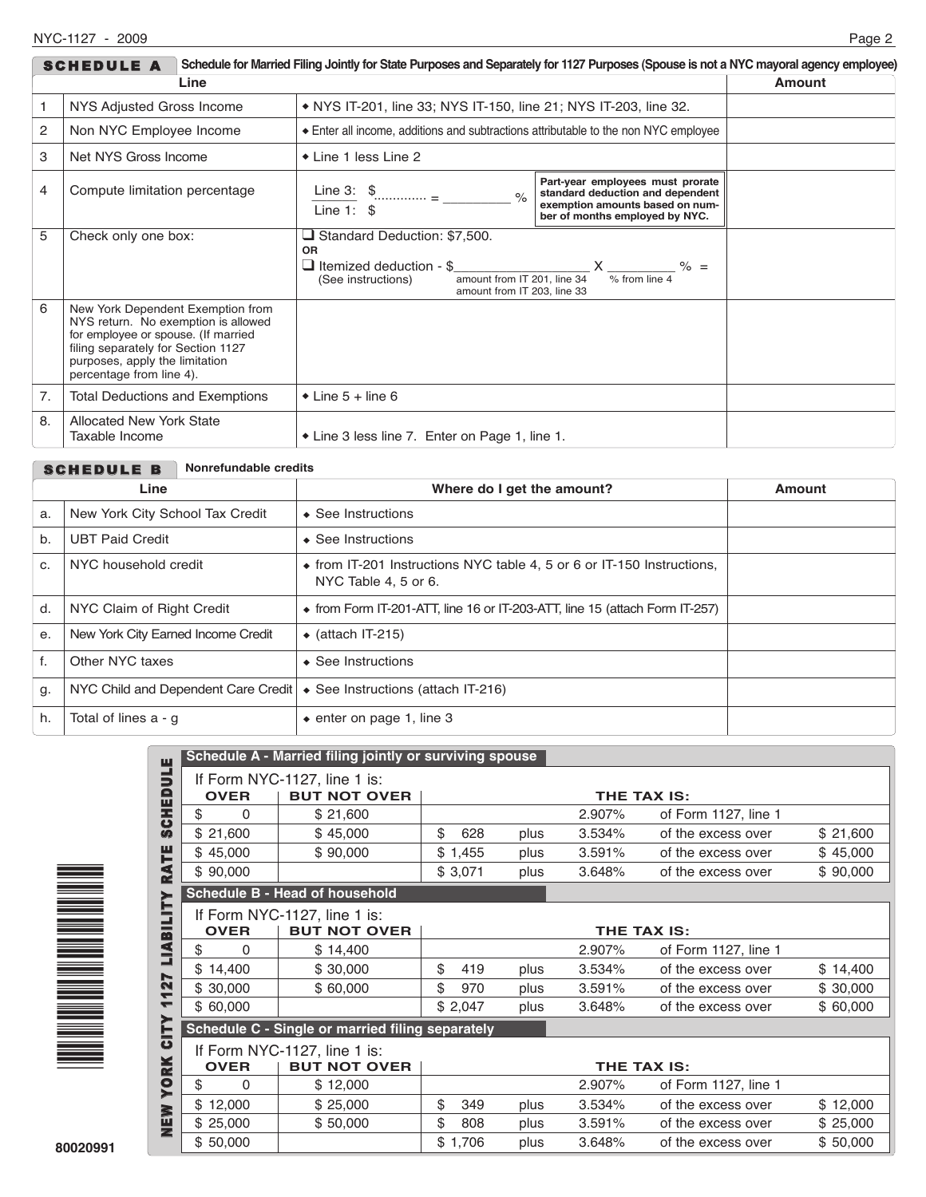| Schedule for Married Filing Jointly for State Purposes and Separately for 1127 Purposes (Spouse is not a NYC mayoral agency employee)<br><b>SCHEDULE A</b> |                                                                                                                                                                                                                     |                                                                                                                                                                                                                                                                                                                                                                                                                                                                                                     |  |  |  |  |  |
|------------------------------------------------------------------------------------------------------------------------------------------------------------|---------------------------------------------------------------------------------------------------------------------------------------------------------------------------------------------------------------------|-----------------------------------------------------------------------------------------------------------------------------------------------------------------------------------------------------------------------------------------------------------------------------------------------------------------------------------------------------------------------------------------------------------------------------------------------------------------------------------------------------|--|--|--|--|--|
| Line<br>Amount                                                                                                                                             |                                                                                                                                                                                                                     |                                                                                                                                                                                                                                                                                                                                                                                                                                                                                                     |  |  |  |  |  |
| 1                                                                                                                                                          | NYS Adjusted Gross Income                                                                                                                                                                                           | • NYS IT-201, line 33; NYS IT-150, line 21; NYS IT-203, line 32.                                                                                                                                                                                                                                                                                                                                                                                                                                    |  |  |  |  |  |
| 2<br>Non NYC Employee Income                                                                                                                               |                                                                                                                                                                                                                     | Enter all income, additions and subtractions attributable to the non NYC employee                                                                                                                                                                                                                                                                                                                                                                                                                   |  |  |  |  |  |
| 3<br>Net NYS Gross Income                                                                                                                                  |                                                                                                                                                                                                                     | ◆ Line 1 less Line 2                                                                                                                                                                                                                                                                                                                                                                                                                                                                                |  |  |  |  |  |
| $\overline{4}$                                                                                                                                             | Compute limitation percentage                                                                                                                                                                                       | Part-year employees must prorate<br>Line 3: $\frac{1}{2}$ $\frac{1}{2}$ $\frac{1}{2}$ $\frac{1}{2}$ $\frac{1}{2}$ $\frac{1}{2}$ $\frac{1}{2}$ $\frac{1}{2}$ $\frac{1}{2}$ $\frac{1}{2}$ $\frac{1}{2}$ $\frac{1}{2}$ $\frac{1}{2}$ $\frac{1}{2}$ $\frac{1}{2}$ $\frac{1}{2}$ $\frac{1}{2}$ $\frac{1}{2}$ $\frac{1}{2}$ $\frac{1}{2}$ $\frac{1}{2}$ $\frac$<br>standard deduction and dependent<br>$\frac{1}{2}$<br>exemption amounts based on num-<br>Line $1:$ \$<br>ber of months employed by NYC. |  |  |  |  |  |
| 5                                                                                                                                                          | Check only one box:                                                                                                                                                                                                 | □ Standard Deduction: \$7,500.<br><b>OR</b><br>I Itemized deduction - \$<br>$X \frac{ }{ \% \text{ from line 4 }}$ % =<br>amount from IT 201, line 34<br>(See instructions)<br>amount from IT 203. line 33                                                                                                                                                                                                                                                                                          |  |  |  |  |  |
| 6                                                                                                                                                          | New York Dependent Exemption from<br>NYS return. No exemption is allowed<br>for employee or spouse. (If married<br>filing separately for Section 1127<br>purposes, apply the limitation<br>percentage from line 4). |                                                                                                                                                                                                                                                                                                                                                                                                                                                                                                     |  |  |  |  |  |
| 7.                                                                                                                                                         | <b>Total Deductions and Exemptions</b>                                                                                                                                                                              | $\bullet$ Line 5 + line 6                                                                                                                                                                                                                                                                                                                                                                                                                                                                           |  |  |  |  |  |
| 8.                                                                                                                                                         | <b>Allocated New York State</b><br>Taxable Income                                                                                                                                                                   | • Line 3 less line 7. Enter on Page 1, line 1.                                                                                                                                                                                                                                                                                                                                                                                                                                                      |  |  |  |  |  |

| <b>SCHEDULE B</b>                  |                                                                                                        |                                                              |  |  |  |  |  |
|------------------------------------|--------------------------------------------------------------------------------------------------------|--------------------------------------------------------------|--|--|--|--|--|
| Line                               | Where do I get the amount?                                                                             | <b>Amount</b>                                                |  |  |  |  |  |
| New York City School Tax Credit    | $\triangle$ See Instructions                                                                           |                                                              |  |  |  |  |  |
| <b>UBT Paid Credit</b>             | $\bullet$ See Instructions                                                                             |                                                              |  |  |  |  |  |
| NYC household credit               | $\bullet$ from IT-201 Instructions NYC table 4, 5 or 6 or IT-150 Instructions,<br>NYC Table 4, 5 or 6. |                                                              |  |  |  |  |  |
| NYC Claim of Right Credit          | $\bullet$ from Form IT-201-ATT, line 16 or IT-203-ATT, line 15 (attach Form IT-257)                    |                                                              |  |  |  |  |  |
| New York City Earned Income Credit | $\bullet$ (attach IT-215)                                                                              |                                                              |  |  |  |  |  |
| Other NYC taxes                    | $\triangle$ See Instructions                                                                           |                                                              |  |  |  |  |  |
|                                    | ♦ See Instructions (attach IT-216)                                                                     |                                                              |  |  |  |  |  |
| Total of lines a - q               | $\bullet$ enter on page 1, line 3                                                                      |                                                              |  |  |  |  |  |
|                                    |                                                                                                        | Nonrefundable credits<br>NYC Child and Dependent Care Credit |  |  |  |  |  |



|                                | Schedule A - Married filing jointly or surviving spouse            |                                                     |    |         |      |        |                      |          |  |
|--------------------------------|--------------------------------------------------------------------|-----------------------------------------------------|----|---------|------|--------|----------------------|----------|--|
| ULE<br>D                       | If Form NYC-1127, line 1 is:<br><b>BUT NOT OVER</b><br><b>OVER</b> |                                                     |    |         |      |        | <b>THE TAX IS:</b>   |          |  |
| <b>GEHS</b>                    | \$<br>0                                                            | \$21,600                                            |    |         |      | 2.907% | of Form 1127, line 1 |          |  |
|                                | \$21,600                                                           | \$45,000                                            | \$ | 628     | plus | 3.534% | of the excess over   | \$21,600 |  |
| Ë                              | \$45,000                                                           | \$90,000                                            | \$ | 1,455   | plus | 3.591% | of the excess over   | \$45,000 |  |
| Ŕ                              | \$90,000                                                           |                                                     |    | \$3,071 | plus | 3.648% | of the excess over   | \$90,000 |  |
|                                |                                                                    | Schedule B - Head of household                      |    |         |      |        |                      |          |  |
| LIABILITY                      | <b>OVER</b>                                                        | If Form NYC-1127, line 1 is:<br><b>BUT NOT OVER</b> |    |         |      |        | THE TAX IS:          |          |  |
|                                | \$<br>0                                                            | \$14,400                                            |    |         |      | 2.907% | of Form 1127, line 1 |          |  |
|                                | \$14,400                                                           | \$30,000                                            | \$ | 419     | plus | 3.534% | of the excess over   | \$14,400 |  |
| 27<br>$\overline{\phantom{0}}$ | \$30,000                                                           | \$60,000                                            | \$ | 970     | plus | 3.591% | of the excess over   | \$30,000 |  |
| ↽                              | \$60,000                                                           |                                                     |    | \$2,047 | plus | 3.648% | of the excess over   | \$60,000 |  |
| <b>CITY</b>                    | Schedule C - Single or married filing separately                   |                                                     |    |         |      |        |                      |          |  |
|                                | <b>OVER</b>                                                        | If Form NYC-1127, line 1 is:<br><b>BUT NOT OVER</b> |    |         |      |        | THE TAX IS:          |          |  |
| <b>YORK</b>                    | \$<br>0                                                            | \$12,000                                            |    |         |      | 2.907% | of Form 1127, line 1 |          |  |
|                                | \$12,000                                                           | \$25,000                                            | \$ | 349     | plus | 3.534% | of the excess over   | \$12,000 |  |
| ・ミ山                            | \$25,000                                                           | \$50,000                                            | \$ | 808     | plus | 3.591% | of the excess over   | \$25,000 |  |
|                                | \$50,000                                                           |                                                     |    | \$1,706 | plus | 3.648% | of the excess over   | \$50,000 |  |
|                                |                                                                    |                                                     |    |         |      |        |                      |          |  |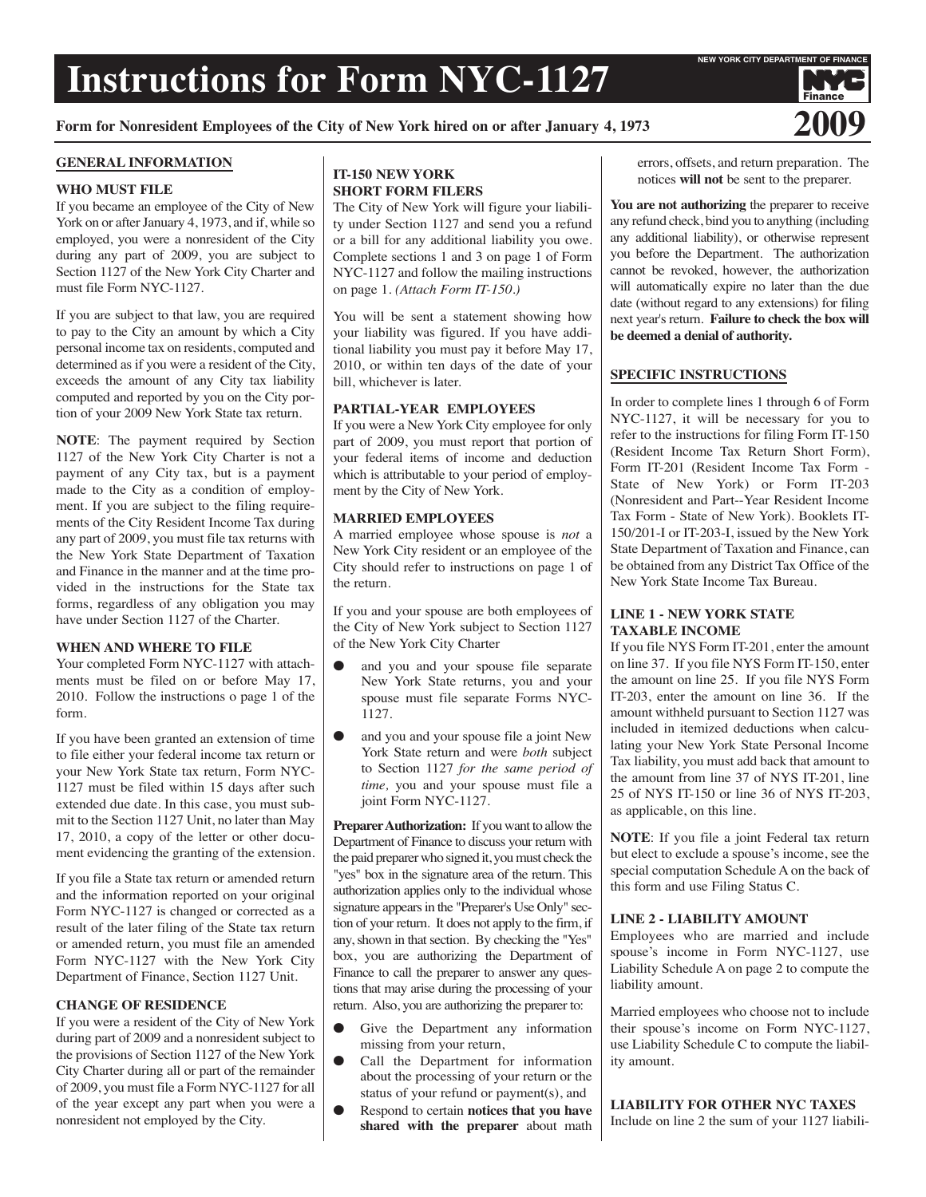## **Instructions for Form NYC-1127**

**NEW YORK CITY DEPARTMENT OF FINANC** 

Finance

**Form for Nonresident Employees of the City of New York hired on or after January 4, <sup>1973</sup> 2009**

#### **GENERAL INFORMATION**

#### **WHO MUST FILE**

If you became an employee of the City of New York on or after January 4, 1973, and if, while so employed, you were a nonresident of the City during any part of 2009, you are subject to Section 1127 of the New York City Charter and must file Form NYC-1127.

If you are subject to that law, you are required to pay to the City an amount by which a City personal income tax on residents, computed and determined as if you were a resident of the City, exceeds the amount of any City tax liability computed and reported by you on the City portion of your 2009 New York State tax return.

**NOTE**: The payment required by Section 1127 of the New York City Charter is not a payment of any City tax, but is a payment made to the City as a condition of employment. If you are subject to the filing requirements of the City Resident Income Tax during any part of 2009, you must file tax returns with the New York State Department of Taxation and Finance in the manner and at the time provided in the instructions for the State tax forms, regardless of any obligation you may have under Section 1127 of the Charter.

#### **WHEN AND WHERE TO FILE**

Your completed Form NYC-1127 with attachments must be filed on or before May 17, 2010. Follow the instructions o page 1 of the form.

If you have been granted an extension of time to file either your federal income tax return or your New York State tax return, Form NYC-1127 must be filed within 15 days after such extended due date. In this case, you must submit to the Section 1127 Unit, no later than May 17, 2010, a copy of the letter or other document evidencing the granting of the extension.

If you file a State tax return or amended return and the information reported on your original Form NYC-1127 is changed or corrected as a result of the later filing of the State tax return or amended return, you must file an amended Form NYC-1127 with the New York City Department of Finance, Section 1127 Unit.

#### **CHANGE OF RESIDENCE**

If you were a resident of the City of New York during part of 2009 and a nonresident subject to the provisions of Section 1127 of the New York City Charter during all or part of the remainder of 2009, you must file a Form NYC-1127 for all of the year except any part when you were a nonresident not employed by the City.

### **IT-150 NEW YORK SHORT FORM FILERS**

The City of New York will figure your liability under Section 1127 and send you a refund or a bill for any additional liability you owe. Complete sections 1 and 3 on page 1 of Form NYC-1127 and follow the mailing instructions on page 1. *(Attach Form IT-150.)*

You will be sent a statement showing how your liability was figured. If you have additional liability you must pay it before May 17, 2010, or within ten days of the date of your bill, whichever is later.

#### **PARTIAL-YEAR EMPLOYEES**

If you were a New York City employee for only part of 2009, you must report that portion of your federal items of income and deduction which is attributable to your period of employment by the City of New York.

#### **MARRIED EMPLOYEES**

A married employee whose spouse is *not* a New York City resident or an employee of the City should refer to instructions on page 1 of the return.

If you and your spouse are both employees of the City of New York subject to Section 1127 of the New York City Charter

- and you and your spouse file separate New York State returns, you and your spouse must file separate Forms NYC-1127.
- and you and your spouse file a joint New York State return and were *both* subject to Section 1127 *for the same period of time,* you and your spouse must file a joint Form NYC-1127.

**Preparer Authorization:** If you want to allow the Department of Finance to discuss your return with the paid preparerwho signed it, youmust check the "yes" box in the signature area of the return. This authorization applies only to the individual whose signature appears in the "Preparer's Use Only" section of your return. It does not apply to the firm, if any, shown in that section. By checking the "Yes" box, you are authorizing the Department of Finance to call the preparer to answer any questions that may arise during the processing of your return. Also, you are authorizing the preparer to:

- Give the Department any information missing from your return,
- Call the Department for information about the processing of your return or the status of your refund or payment(s), and
- Respond to certain **notices that you have shared with the preparer** about math

errors, offsets, and return preparation. The notices **will not** be sent to the preparer.

**You are not authorizing** the preparer to receive any refund check, bind you to anything (including any additional liability), or otherwise represent you before the Department. The authorization cannot be revoked, however, the authorization will automatically expire no later than the due date (without regard to any extensions) for filing next year's return. **Failure to check the box will be deemed a denial of authority.**

#### **SPECIFIC INSTRUCTIONS**

In order to complete lines 1 through 6 of Form NYC-1127, it will be necessary for you to refer to the instructions for filing Form IT-150 (Resident Income Tax Return Short Form), Form IT-201 (Resident Income Tax Form - State of New York) or Form IT-203 (Nonresident and Part--Year Resident Income Tax Form - State of New York). Booklets IT-150/201-I or IT-203-I, issued by the New York State Department of Taxation and Finance, can be obtained from any District Tax Office of the New York State Income Tax Bureau.

#### **LINE 1 - NEW YORK STATE TAXABLE INCOME**

If you file NYS Form IT-201, enter the amount on line 37. If you file NYS Form IT-150, enter the amount on line 25. If you file NYS Form IT-203, enter the amount on line 36. If the amount withheld pursuant to Section 1127 was included in itemized deductions when calculating your New York State Personal Income Tax liability, you must add back that amount to the amount from line 37 of NYS IT-201, line 25 of NYS IT-150 or line 36 of NYS IT-203, as applicable, on this line.

**NOTE**: If you file a joint Federal tax return but elect to exclude a spouse's income, see the special computation Schedule A on the back of this form and use Filing Status C.

#### **LINE 2 - LIABILITY AMOUNT**

Employees who are married and include spouse's income in Form NYC-1127, use Liability Schedule A on page 2 to compute the liability amount.

Married employees who choose not to include their spouse's income on Form NYC-1127, use Liability Schedule C to compute the liability amount.

**LIABILITY FOR OTHER NYC TAXES** Include on line 2 the sum of your 1127 liabili